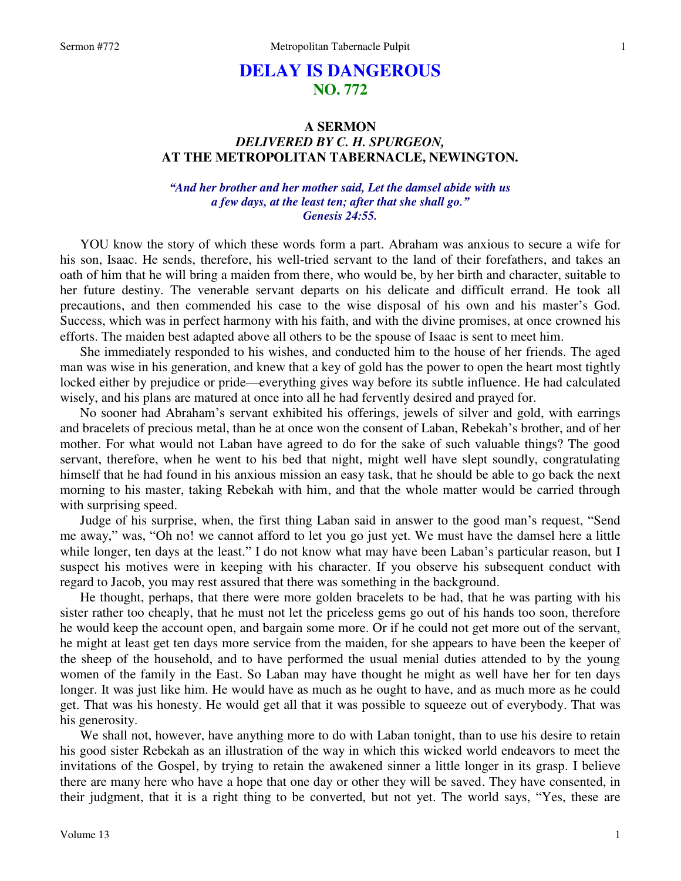# **DELAY IS DANGEROUS NO. 772**

## **A SERMON**  *DELIVERED BY C. H. SPURGEON,*  **AT THE METROPOLITAN TABERNACLE, NEWINGTON.**

#### *"And her brother and her mother said, Let the damsel abide with us a few days, at the least ten; after that she shall go." Genesis 24:55.*

YOU know the story of which these words form a part. Abraham was anxious to secure a wife for his son, Isaac. He sends, therefore, his well-tried servant to the land of their forefathers, and takes an oath of him that he will bring a maiden from there, who would be, by her birth and character, suitable to her future destiny. The venerable servant departs on his delicate and difficult errand. He took all precautions, and then commended his case to the wise disposal of his own and his master's God. Success, which was in perfect harmony with his faith, and with the divine promises, at once crowned his efforts. The maiden best adapted above all others to be the spouse of Isaac is sent to meet him.

 She immediately responded to his wishes, and conducted him to the house of her friends. The aged man was wise in his generation, and knew that a key of gold has the power to open the heart most tightly locked either by prejudice or pride—everything gives way before its subtle influence. He had calculated wisely, and his plans are matured at once into all he had fervently desired and prayed for.

 No sooner had Abraham's servant exhibited his offerings, jewels of silver and gold, with earrings and bracelets of precious metal, than he at once won the consent of Laban, Rebekah's brother, and of her mother. For what would not Laban have agreed to do for the sake of such valuable things? The good servant, therefore, when he went to his bed that night, might well have slept soundly, congratulating himself that he had found in his anxious mission an easy task, that he should be able to go back the next morning to his master, taking Rebekah with him, and that the whole matter would be carried through with surprising speed.

Judge of his surprise, when, the first thing Laban said in answer to the good man's request, "Send me away," was, "Oh no! we cannot afford to let you go just yet. We must have the damsel here a little while longer, ten days at the least." I do not know what may have been Laban's particular reason, but I suspect his motives were in keeping with his character. If you observe his subsequent conduct with regard to Jacob, you may rest assured that there was something in the background.

 He thought, perhaps, that there were more golden bracelets to be had, that he was parting with his sister rather too cheaply, that he must not let the priceless gems go out of his hands too soon, therefore he would keep the account open, and bargain some more. Or if he could not get more out of the servant, he might at least get ten days more service from the maiden, for she appears to have been the keeper of the sheep of the household, and to have performed the usual menial duties attended to by the young women of the family in the East. So Laban may have thought he might as well have her for ten days longer. It was just like him. He would have as much as he ought to have, and as much more as he could get. That was his honesty. He would get all that it was possible to squeeze out of everybody. That was his generosity.

We shall not, however, have anything more to do with Laban tonight, than to use his desire to retain his good sister Rebekah as an illustration of the way in which this wicked world endeavors to meet the invitations of the Gospel, by trying to retain the awakened sinner a little longer in its grasp. I believe there are many here who have a hope that one day or other they will be saved. They have consented, in their judgment, that it is a right thing to be converted, but not yet. The world says, "Yes, these are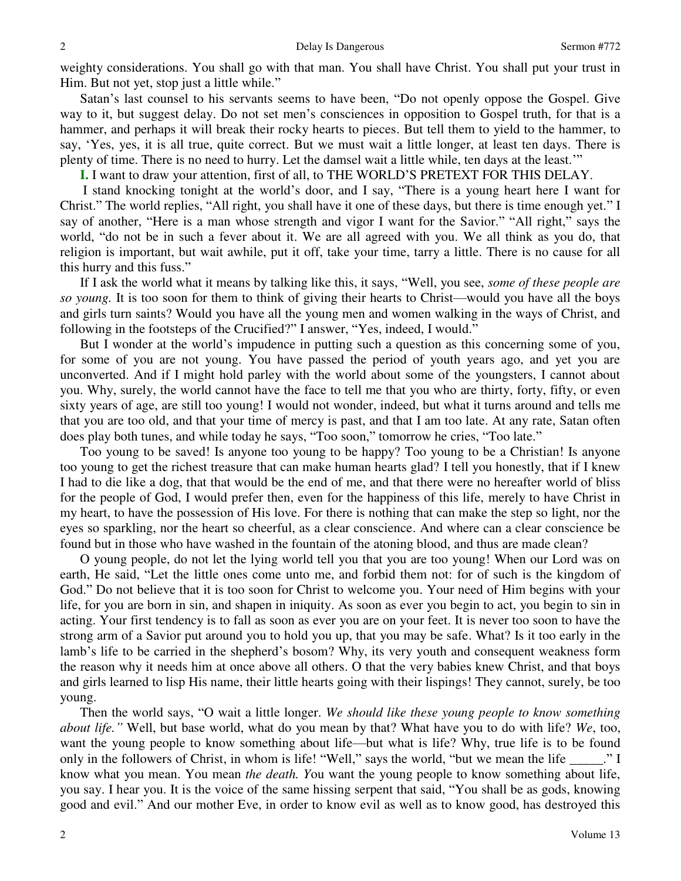weighty considerations. You shall go with that man. You shall have Christ. You shall put your trust in Him. But not yet, stop just a little while."

 Satan's last counsel to his servants seems to have been, "Do not openly oppose the Gospel. Give way to it, but suggest delay. Do not set men's consciences in opposition to Gospel truth, for that is a hammer, and perhaps it will break their rocky hearts to pieces. But tell them to yield to the hammer, to say, 'Yes, yes, it is all true, quite correct. But we must wait a little longer, at least ten days. There is plenty of time. There is no need to hurry. Let the damsel wait a little while, ten days at the least.'"

**I.** I want to draw your attention, first of all, to THE WORLD'S PRETEXT FOR THIS DELAY.

 I stand knocking tonight at the world's door, and I say, "There is a young heart here I want for Christ." The world replies, "All right, you shall have it one of these days, but there is time enough yet." I say of another, "Here is a man whose strength and vigor I want for the Savior." "All right," says the world, "do not be in such a fever about it. We are all agreed with you. We all think as you do, that religion is important, but wait awhile, put it off, take your time, tarry a little. There is no cause for all this hurry and this fuss."

 If I ask the world what it means by talking like this, it says, "Well, you see, *some of these people are so young.* It is too soon for them to think of giving their hearts to Christ—would you have all the boys and girls turn saints? Would you have all the young men and women walking in the ways of Christ, and following in the footsteps of the Crucified?" I answer, "Yes, indeed, I would."

 But I wonder at the world's impudence in putting such a question as this concerning some of you, for some of you are not young. You have passed the period of youth years ago, and yet you are unconverted. And if I might hold parley with the world about some of the youngsters, I cannot about you. Why, surely, the world cannot have the face to tell me that you who are thirty, forty, fifty, or even sixty years of age, are still too young! I would not wonder, indeed, but what it turns around and tells me that you are too old, and that your time of mercy is past, and that I am too late. At any rate, Satan often does play both tunes, and while today he says, "Too soon," tomorrow he cries, "Too late."

 Too young to be saved! Is anyone too young to be happy? Too young to be a Christian! Is anyone too young to get the richest treasure that can make human hearts glad? I tell you honestly, that if I knew I had to die like a dog, that that would be the end of me, and that there were no hereafter world of bliss for the people of God, I would prefer then, even for the happiness of this life, merely to have Christ in my heart, to have the possession of His love. For there is nothing that can make the step so light, nor the eyes so sparkling, nor the heart so cheerful, as a clear conscience. And where can a clear conscience be found but in those who have washed in the fountain of the atoning blood, and thus are made clean?

 O young people, do not let the lying world tell you that you are too young! When our Lord was on earth, He said, "Let the little ones come unto me, and forbid them not: for of such is the kingdom of God." Do not believe that it is too soon for Christ to welcome you. Your need of Him begins with your life, for you are born in sin, and shapen in iniquity. As soon as ever you begin to act, you begin to sin in acting. Your first tendency is to fall as soon as ever you are on your feet. It is never too soon to have the strong arm of a Savior put around you to hold you up, that you may be safe. What? Is it too early in the lamb's life to be carried in the shepherd's bosom? Why, its very youth and consequent weakness form the reason why it needs him at once above all others. O that the very babies knew Christ, and that boys and girls learned to lisp His name, their little hearts going with their lispings! They cannot, surely, be too young.

 Then the world says, "O wait a little longer. *We should like these young people to know something about life."* Well, but base world, what do you mean by that? What have you to do with life? *We*, too, want the young people to know something about life—but what is life? Why, true life is to be found only in the followers of Christ, in whom is life! "Well," says the world, "but we mean the life \_\_\_\_\_." I know what you mean. You mean *the death. Y*ou want the young people to know something about life, you say. I hear you. It is the voice of the same hissing serpent that said, "You shall be as gods, knowing good and evil." And our mother Eve, in order to know evil as well as to know good, has destroyed this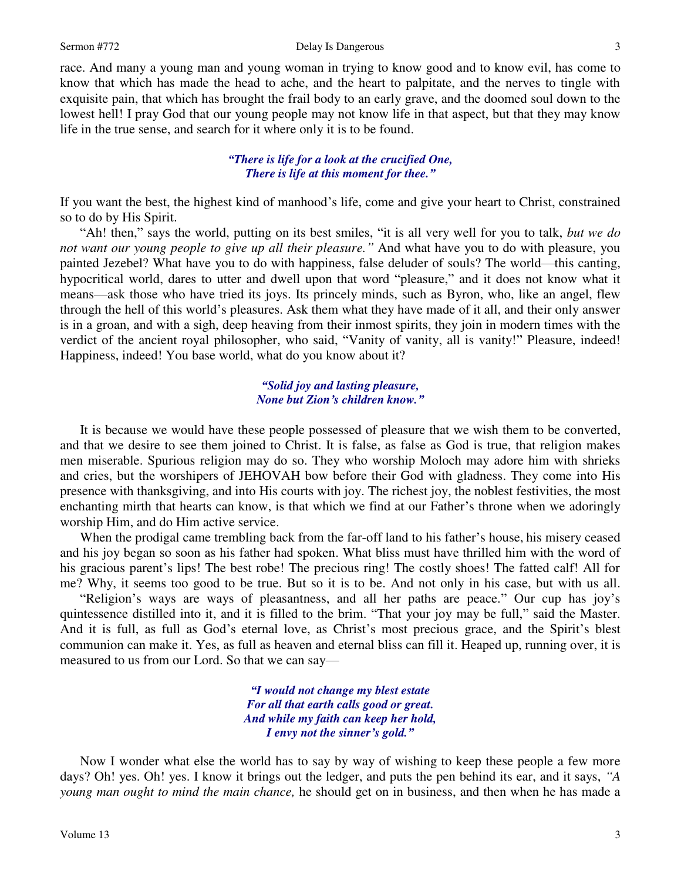race. And many a young man and young woman in trying to know good and to know evil, has come to know that which has made the head to ache, and the heart to palpitate, and the nerves to tingle with exquisite pain, that which has brought the frail body to an early grave, and the doomed soul down to the lowest hell! I pray God that our young people may not know life in that aspect, but that they may know life in the true sense, and search for it where only it is to be found.

### *"There is life for a look at the crucified One, There is life at this moment for thee."*

If you want the best, the highest kind of manhood's life, come and give your heart to Christ, constrained so to do by His Spirit.

"Ah! then," says the world, putting on its best smiles, "it is all very well for you to talk, *but we do not want our young people to give up all their pleasure."* And what have you to do with pleasure, you painted Jezebel? What have you to do with happiness, false deluder of souls? The world—this canting, hypocritical world, dares to utter and dwell upon that word "pleasure," and it does not know what it means—ask those who have tried its joys. Its princely minds, such as Byron, who, like an angel, flew through the hell of this world's pleasures. Ask them what they have made of it all, and their only answer is in a groan, and with a sigh, deep heaving from their inmost spirits, they join in modern times with the verdict of the ancient royal philosopher, who said, "Vanity of vanity, all is vanity!" Pleasure, indeed! Happiness, indeed! You base world, what do you know about it?

#### *"Solid joy and lasting pleasure, None but Zion's children know."*

 It is because we would have these people possessed of pleasure that we wish them to be converted, and that we desire to see them joined to Christ. It is false, as false as God is true, that religion makes men miserable. Spurious religion may do so. They who worship Moloch may adore him with shrieks and cries, but the worshipers of JEHOVAH bow before their God with gladness. They come into His presence with thanksgiving, and into His courts with joy. The richest joy, the noblest festivities, the most enchanting mirth that hearts can know, is that which we find at our Father's throne when we adoringly worship Him, and do Him active service.

 When the prodigal came trembling back from the far-off land to his father's house, his misery ceased and his joy began so soon as his father had spoken. What bliss must have thrilled him with the word of his gracious parent's lips! The best robe! The precious ring! The costly shoes! The fatted calf! All for me? Why, it seems too good to be true. But so it is to be. And not only in his case, but with us all.

"Religion's ways are ways of pleasantness, and all her paths are peace." Our cup has joy's quintessence distilled into it, and it is filled to the brim. "That your joy may be full," said the Master. And it is full, as full as God's eternal love, as Christ's most precious grace, and the Spirit's blest communion can make it. Yes, as full as heaven and eternal bliss can fill it. Heaped up, running over, it is measured to us from our Lord. So that we can say—

> *"I would not change my blest estate For all that earth calls good or great. And while my faith can keep her hold, I envy not the sinner's gold."*

 Now I wonder what else the world has to say by way of wishing to keep these people a few more days? Oh! yes. Oh! yes. I know it brings out the ledger, and puts the pen behind its ear, and it says, *"A young man ought to mind the main chance,* he should get on in business, and then when he has made a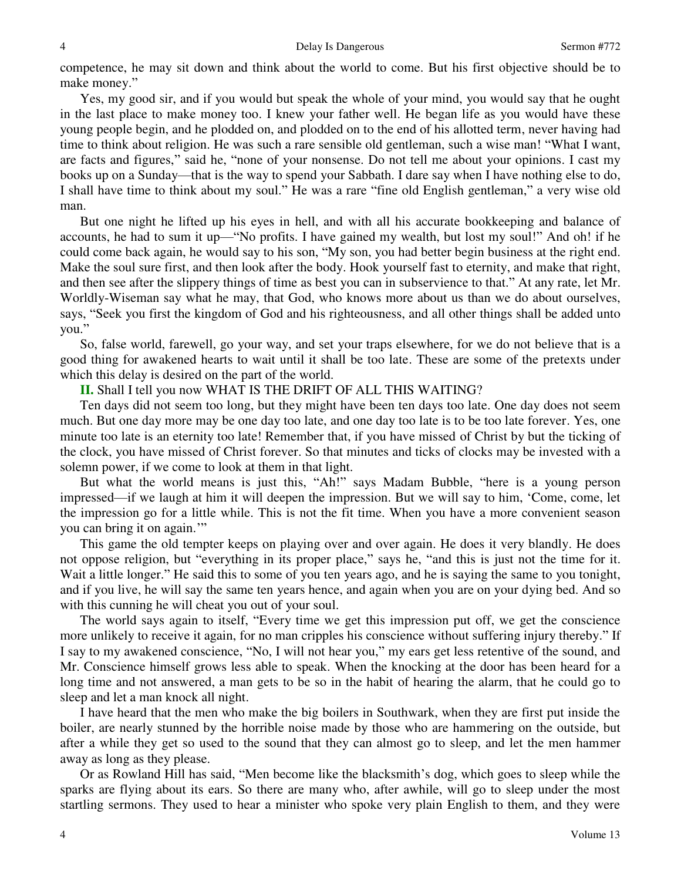competence, he may sit down and think about the world to come. But his first objective should be to make money."

 Yes, my good sir, and if you would but speak the whole of your mind, you would say that he ought in the last place to make money too. I knew your father well. He began life as you would have these young people begin, and he plodded on, and plodded on to the end of his allotted term, never having had time to think about religion. He was such a rare sensible old gentleman, such a wise man! "What I want, are facts and figures," said he, "none of your nonsense. Do not tell me about your opinions. I cast my books up on a Sunday—that is the way to spend your Sabbath. I dare say when I have nothing else to do, I shall have time to think about my soul." He was a rare "fine old English gentleman," a very wise old man.

 But one night he lifted up his eyes in hell, and with all his accurate bookkeeping and balance of accounts, he had to sum it up—"No profits. I have gained my wealth, but lost my soul!" And oh! if he could come back again, he would say to his son, "My son, you had better begin business at the right end. Make the soul sure first, and then look after the body. Hook yourself fast to eternity, and make that right, and then see after the slippery things of time as best you can in subservience to that." At any rate, let Mr. Worldly-Wiseman say what he may, that God, who knows more about us than we do about ourselves, says, "Seek you first the kingdom of God and his righteousness, and all other things shall be added unto you."

 So, false world, farewell, go your way, and set your traps elsewhere, for we do not believe that is a good thing for awakened hearts to wait until it shall be too late. These are some of the pretexts under which this delay is desired on the part of the world.

#### **II.** Shall I tell you now WHAT IS THE DRIFT OF ALL THIS WAITING?

 Ten days did not seem too long, but they might have been ten days too late. One day does not seem much. But one day more may be one day too late, and one day too late is to be too late forever. Yes, one minute too late is an eternity too late! Remember that, if you have missed of Christ by but the ticking of the clock, you have missed of Christ forever. So that minutes and ticks of clocks may be invested with a solemn power, if we come to look at them in that light.

 But what the world means is just this, "Ah!" says Madam Bubble, "here is a young person impressed—if we laugh at him it will deepen the impression. But we will say to him, 'Come, come, let the impression go for a little while. This is not the fit time. When you have a more convenient season you can bring it on again.'"

 This game the old tempter keeps on playing over and over again. He does it very blandly. He does not oppose religion, but "everything in its proper place," says he, "and this is just not the time for it. Wait a little longer." He said this to some of you ten years ago, and he is saying the same to you tonight, and if you live, he will say the same ten years hence, and again when you are on your dying bed. And so with this cunning he will cheat you out of your soul.

 The world says again to itself, "Every time we get this impression put off, we get the conscience more unlikely to receive it again, for no man cripples his conscience without suffering injury thereby." If I say to my awakened conscience, "No, I will not hear you," my ears get less retentive of the sound, and Mr. Conscience himself grows less able to speak. When the knocking at the door has been heard for a long time and not answered, a man gets to be so in the habit of hearing the alarm, that he could go to sleep and let a man knock all night.

 I have heard that the men who make the big boilers in Southwark, when they are first put inside the boiler, are nearly stunned by the horrible noise made by those who are hammering on the outside, but after a while they get so used to the sound that they can almost go to sleep, and let the men hammer away as long as they please.

 Or as Rowland Hill has said, "Men become like the blacksmith's dog, which goes to sleep while the sparks are flying about its ears. So there are many who, after awhile, will go to sleep under the most startling sermons. They used to hear a minister who spoke very plain English to them, and they were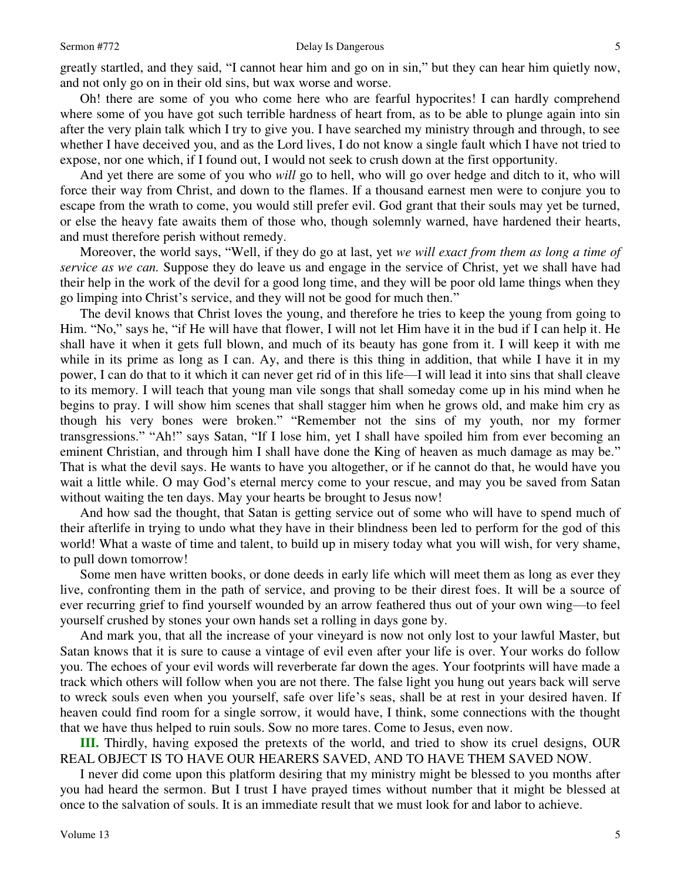greatly startled, and they said, "I cannot hear him and go on in sin," but they can hear him quietly now, and not only go on in their old sins, but wax worse and worse.

 Oh! there are some of you who come here who are fearful hypocrites! I can hardly comprehend where some of you have got such terrible hardness of heart from, as to be able to plunge again into sin after the very plain talk which I try to give you. I have searched my ministry through and through, to see whether I have deceived you, and as the Lord lives, I do not know a single fault which I have not tried to expose, nor one which, if I found out, I would not seek to crush down at the first opportunity.

 And yet there are some of you who *will* go to hell, who will go over hedge and ditch to it, who will force their way from Christ, and down to the flames. If a thousand earnest men were to conjure you to escape from the wrath to come, you would still prefer evil. God grant that their souls may yet be turned, or else the heavy fate awaits them of those who, though solemnly warned, have hardened their hearts, and must therefore perish without remedy.

 Moreover, the world says, "Well, if they do go at last, yet *we will exact from them as long a time of service as we can.* Suppose they do leave us and engage in the service of Christ, yet we shall have had their help in the work of the devil for a good long time, and they will be poor old lame things when they go limping into Christ's service, and they will not be good for much then."

 The devil knows that Christ loves the young, and therefore he tries to keep the young from going to Him. "No," says he, "if He will have that flower, I will not let Him have it in the bud if I can help it. He shall have it when it gets full blown, and much of its beauty has gone from it. I will keep it with me while in its prime as long as I can. Ay, and there is this thing in addition, that while I have it in my power, I can do that to it which it can never get rid of in this life—I will lead it into sins that shall cleave to its memory. I will teach that young man vile songs that shall someday come up in his mind when he begins to pray. I will show him scenes that shall stagger him when he grows old, and make him cry as though his very bones were broken." "Remember not the sins of my youth, nor my former transgressions." "Ah!" says Satan, "If I lose him, yet I shall have spoiled him from ever becoming an eminent Christian, and through him I shall have done the King of heaven as much damage as may be." That is what the devil says. He wants to have you altogether, or if he cannot do that, he would have you wait a little while. O may God's eternal mercy come to your rescue, and may you be saved from Satan without waiting the ten days. May your hearts be brought to Jesus now!

 And how sad the thought, that Satan is getting service out of some who will have to spend much of their afterlife in trying to undo what they have in their blindness been led to perform for the god of this world! What a waste of time and talent, to build up in misery today what you will wish, for very shame, to pull down tomorrow!

 Some men have written books, or done deeds in early life which will meet them as long as ever they live, confronting them in the path of service, and proving to be their direst foes. It will be a source of ever recurring grief to find yourself wounded by an arrow feathered thus out of your own wing—to feel yourself crushed by stones your own hands set a rolling in days gone by.

 And mark you, that all the increase of your vineyard is now not only lost to your lawful Master, but Satan knows that it is sure to cause a vintage of evil even after your life is over. Your works do follow you. The echoes of your evil words will reverberate far down the ages. Your footprints will have made a track which others will follow when you are not there. The false light you hung out years back will serve to wreck souls even when you yourself, safe over life's seas, shall be at rest in your desired haven. If heaven could find room for a single sorrow, it would have, I think, some connections with the thought that we have thus helped to ruin souls. Sow no more tares. Come to Jesus, even now.

**III.** Thirdly, having exposed the pretexts of the world, and tried to show its cruel designs, OUR REAL OBJECT IS TO HAVE OUR HEARERS SAVED, AND TO HAVE THEM SAVED NOW.

 I never did come upon this platform desiring that my ministry might be blessed to you months after you had heard the sermon. But I trust I have prayed times without number that it might be blessed at once to the salvation of souls. It is an immediate result that we must look for and labor to achieve.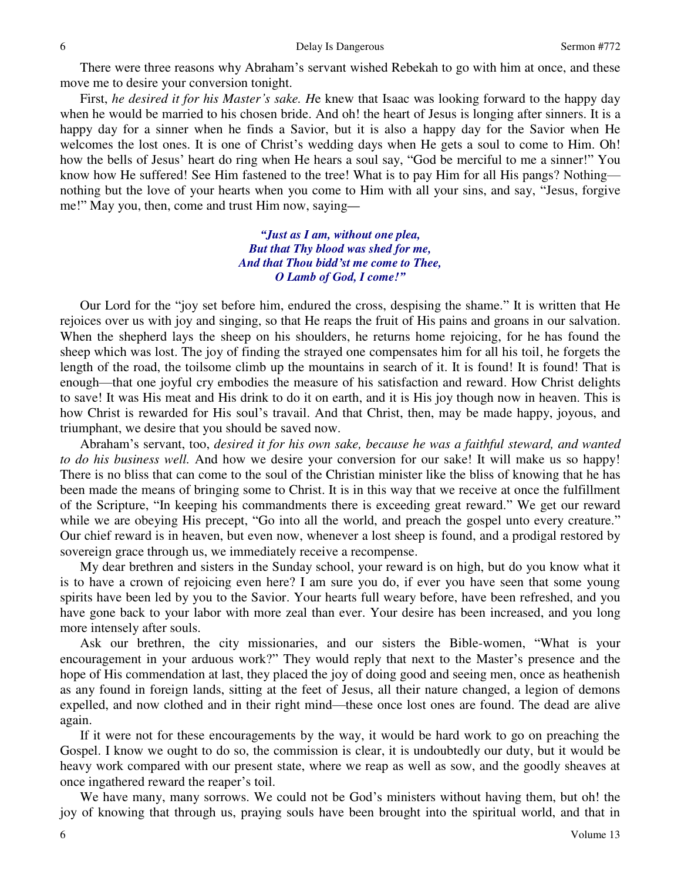There were three reasons why Abraham's servant wished Rebekah to go with him at once, and these move me to desire your conversion tonight.

 First, *he desired it for his Master's sake. H*e knew that Isaac was looking forward to the happy day when he would be married to his chosen bride. And oh! the heart of Jesus is longing after sinners. It is a happy day for a sinner when he finds a Savior, but it is also a happy day for the Savior when He welcomes the lost ones. It is one of Christ's wedding days when He gets a soul to come to Him. Oh! how the bells of Jesus' heart do ring when He hears a soul say, "God be merciful to me a sinner!" You know how He suffered! See Him fastened to the tree! What is to pay Him for all His pangs? Nothing nothing but the love of your hearts when you come to Him with all your sins, and say, "Jesus, forgive me!" May you, then, come and trust Him now, saying*—*

> *"Just as I am, without one plea, But that Thy blood was shed for me, And that Thou bidd'st me come to Thee, O Lamb of God, I come!"*

 Our Lord for the "joy set before him, endured the cross, despising the shame." It is written that He rejoices over us with joy and singing, so that He reaps the fruit of His pains and groans in our salvation. When the shepherd lays the sheep on his shoulders, he returns home rejoicing, for he has found the sheep which was lost. The joy of finding the strayed one compensates him for all his toil, he forgets the length of the road, the toilsome climb up the mountains in search of it. It is found! It is found! That is enough—that one joyful cry embodies the measure of his satisfaction and reward. How Christ delights to save! It was His meat and His drink to do it on earth, and it is His joy though now in heaven. This is how Christ is rewarded for His soul's travail. And that Christ, then, may be made happy, joyous, and triumphant, we desire that you should be saved now.

 Abraham's servant, too, *desired it for his own sake, because he was a faithful steward, and wanted to do his business well.* And how we desire your conversion for our sake! It will make us so happy! There is no bliss that can come to the soul of the Christian minister like the bliss of knowing that he has been made the means of bringing some to Christ. It is in this way that we receive at once the fulfillment of the Scripture, "In keeping his commandments there is exceeding great reward." We get our reward while we are obeying His precept, "Go into all the world, and preach the gospel unto every creature." Our chief reward is in heaven, but even now, whenever a lost sheep is found, and a prodigal restored by sovereign grace through us, we immediately receive a recompense.

 My dear brethren and sisters in the Sunday school, your reward is on high, but do you know what it is to have a crown of rejoicing even here? I am sure you do, if ever you have seen that some young spirits have been led by you to the Savior. Your hearts full weary before, have been refreshed, and you have gone back to your labor with more zeal than ever. Your desire has been increased, and you long more intensely after souls.

 Ask our brethren, the city missionaries, and our sisters the Bible-women, "What is your encouragement in your arduous work?" They would reply that next to the Master's presence and the hope of His commendation at last, they placed the joy of doing good and seeing men, once as heathenish as any found in foreign lands, sitting at the feet of Jesus, all their nature changed, a legion of demons expelled, and now clothed and in their right mind—these once lost ones are found. The dead are alive again.

 If it were not for these encouragements by the way, it would be hard work to go on preaching the Gospel. I know we ought to do so, the commission is clear, it is undoubtedly our duty, but it would be heavy work compared with our present state, where we reap as well as sow, and the goodly sheaves at once ingathered reward the reaper's toil.

 We have many, many sorrows. We could not be God's ministers without having them, but oh! the joy of knowing that through us, praying souls have been brought into the spiritual world, and that in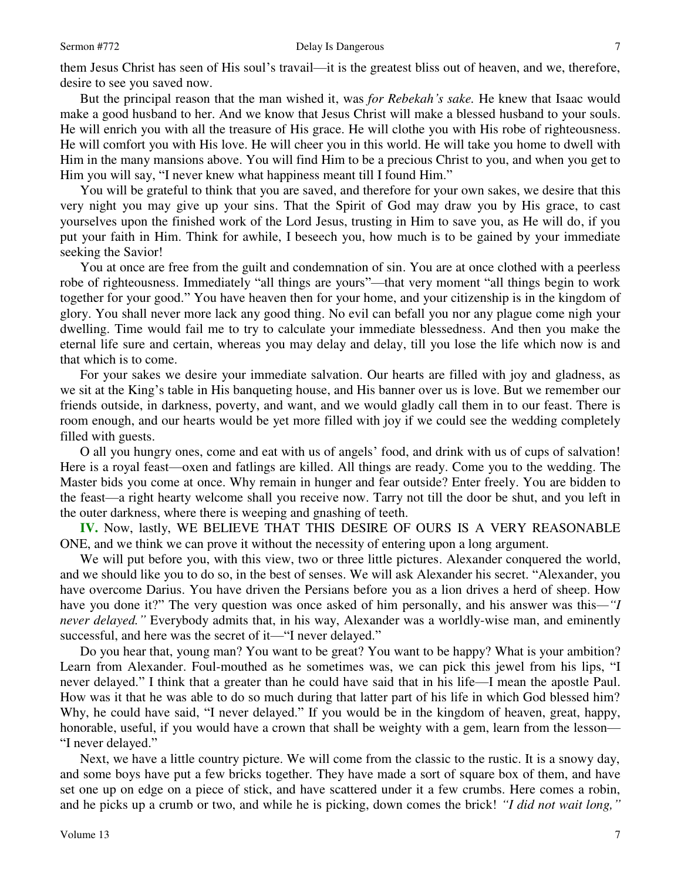them Jesus Christ has seen of His soul's travail—it is the greatest bliss out of heaven, and we, therefore, desire to see you saved now.

 But the principal reason that the man wished it, was *for Rebekah's sake.* He knew that Isaac would make a good husband to her. And we know that Jesus Christ will make a blessed husband to your souls. He will enrich you with all the treasure of His grace. He will clothe you with His robe of righteousness. He will comfort you with His love. He will cheer you in this world. He will take you home to dwell with Him in the many mansions above. You will find Him to be a precious Christ to you, and when you get to Him you will say, "I never knew what happiness meant till I found Him."

 You will be grateful to think that you are saved, and therefore for your own sakes, we desire that this very night you may give up your sins. That the Spirit of God may draw you by His grace, to cast yourselves upon the finished work of the Lord Jesus, trusting in Him to save you, as He will do, if you put your faith in Him. Think for awhile, I beseech you, how much is to be gained by your immediate seeking the Savior!

You at once are free from the guilt and condemnation of sin. You are at once clothed with a peerless robe of righteousness. Immediately "all things are yours"—that very moment "all things begin to work together for your good." You have heaven then for your home, and your citizenship is in the kingdom of glory. You shall never more lack any good thing. No evil can befall you nor any plague come nigh your dwelling. Time would fail me to try to calculate your immediate blessedness. And then you make the eternal life sure and certain, whereas you may delay and delay, till you lose the life which now is and that which is to come.

 For your sakes we desire your immediate salvation. Our hearts are filled with joy and gladness, as we sit at the King's table in His banqueting house, and His banner over us is love. But we remember our friends outside, in darkness, poverty, and want, and we would gladly call them in to our feast. There is room enough, and our hearts would be yet more filled with joy if we could see the wedding completely filled with guests.

 O all you hungry ones, come and eat with us of angels' food, and drink with us of cups of salvation! Here is a royal feast—oxen and fatlings are killed. All things are ready. Come you to the wedding. The Master bids you come at once. Why remain in hunger and fear outside? Enter freely. You are bidden to the feast—a right hearty welcome shall you receive now. Tarry not till the door be shut, and you left in the outer darkness, where there is weeping and gnashing of teeth.

IV. Now, lastly, WE BELIEVE THAT THIS DESIRE OF OURS IS A VERY REASONABLE ONE, and we think we can prove it without the necessity of entering upon a long argument.

We will put before you, with this view, two or three little pictures. Alexander conquered the world, and we should like you to do so, in the best of senses. We will ask Alexander his secret. "Alexander, you have overcome Darius. You have driven the Persians before you as a lion drives a herd of sheep. How have you done it?" The very question was once asked of him personally, and his answer was this*—"I never delayed."* Everybody admits that, in his way, Alexander was a worldly-wise man, and eminently successful, and here was the secret of it—"I never delayed."

 Do you hear that, young man? You want to be great? You want to be happy? What is your ambition? Learn from Alexander. Foul-mouthed as he sometimes was, we can pick this jewel from his lips, "I never delayed." I think that a greater than he could have said that in his life—I mean the apostle Paul. How was it that he was able to do so much during that latter part of his life in which God blessed him? Why, he could have said, "I never delayed." If you would be in the kingdom of heaven, great, happy, honorable, useful, if you would have a crown that shall be weighty with a gem, learn from the lesson— "I never delayed."

 Next, we have a little country picture. We will come from the classic to the rustic. It is a snowy day, and some boys have put a few bricks together. They have made a sort of square box of them, and have set one up on edge on a piece of stick, and have scattered under it a few crumbs. Here comes a robin, and he picks up a crumb or two, and while he is picking, down comes the brick! *"I did not wait long,"*

7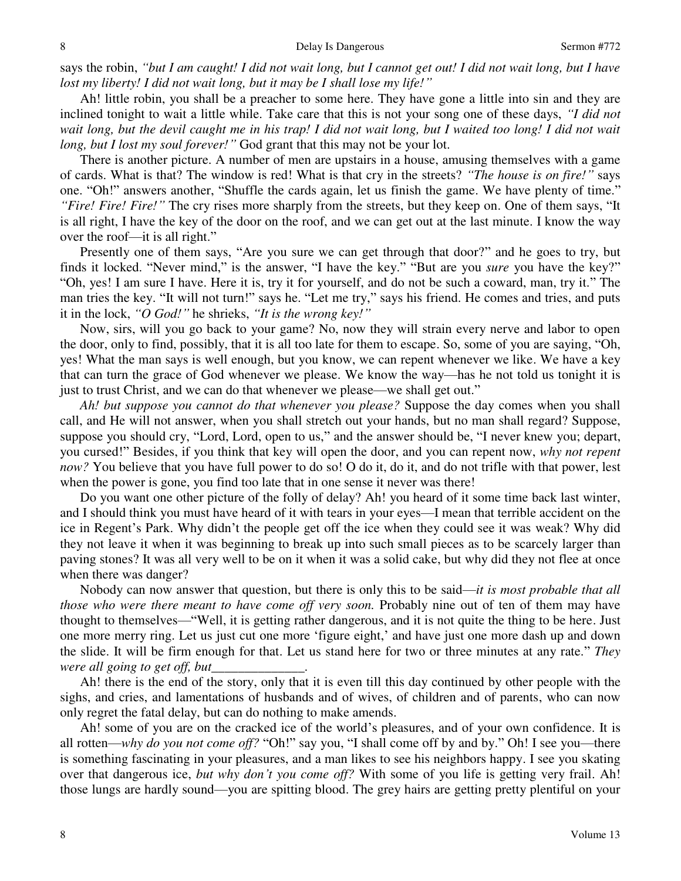says the robin, *"but I am caught! I did not wait long, but I cannot get out! I did not wait long, but I have lost my liberty! I did not wait long, but it may be I shall lose my life!"*

 Ah! little robin, you shall be a preacher to some here. They have gone a little into sin and they are inclined tonight to wait a little while. Take care that this is not your song one of these days, *"I did not wait long, but the devil caught me in his trap! I did not wait long, but I waited too long! I did not wait long, but I lost my soul forever!"* God grant that this may not be your lot.

 There is another picture. A number of men are upstairs in a house, amusing themselves with a game of cards. What is that? The window is red! What is that cry in the streets? *"The house is on fire!"* says one. "Oh!" answers another, "Shuffle the cards again, let us finish the game. We have plenty of time." *"Fire! Fire! Fire!"* The cry rises more sharply from the streets, but they keep on. One of them says, "It is all right, I have the key of the door on the roof, and we can get out at the last minute. I know the way over the roof—it is all right."

 Presently one of them says, "Are you sure we can get through that door?" and he goes to try, but finds it locked. "Never mind," is the answer, "I have the key." "But are you *sure* you have the key?" "Oh, yes! I am sure I have. Here it is, try it for yourself, and do not be such a coward, man, try it." The man tries the key. "It will not turn!" says he. "Let me try," says his friend. He comes and tries, and puts it in the lock, *"O God!"* he shrieks, *"It is the wrong key!"*

 Now, sirs, will you go back to your game? No, now they will strain every nerve and labor to open the door, only to find, possibly, that it is all too late for them to escape. So, some of you are saying, "Oh, yes! What the man says is well enough, but you know, we can repent whenever we like. We have a key that can turn the grace of God whenever we please. We know the way—has he not told us tonight it is just to trust Christ, and we can do that whenever we please—we shall get out."

 *Ah! but suppose you cannot do that whenever you please?* Suppose the day comes when you shall call, and He will not answer, when you shall stretch out your hands, but no man shall regard? Suppose, suppose you should cry, "Lord, Lord, open to us," and the answer should be, "I never knew you; depart, you cursed!" Besides, if you think that key will open the door, and you can repent now, *why not repent now?* You believe that you have full power to do so! O do it, do it, and do not trifle with that power, lest when the power is gone, you find too late that in one sense it never was there!

 Do you want one other picture of the folly of delay? Ah! you heard of it some time back last winter, and I should think you must have heard of it with tears in your eyes—I mean that terrible accident on the ice in Regent's Park. Why didn't the people get off the ice when they could see it was weak? Why did they not leave it when it was beginning to break up into such small pieces as to be scarcely larger than paving stones? It was all very well to be on it when it was a solid cake, but why did they not flee at once when there was danger?

 Nobody can now answer that question, but there is only this to be said—*it is most probable that all those who were there meant to have come off very soon.* Probably nine out of ten of them may have thought to themselves—"Well, it is getting rather dangerous, and it is not quite the thing to be here. Just one more merry ring. Let us just cut one more 'figure eight,' and have just one more dash up and down the slide. It will be firm enough for that. Let us stand here for two or three minutes at any rate." *They were all going to get off, but\_* 

 Ah! there is the end of the story, only that it is even till this day continued by other people with the sighs, and cries, and lamentations of husbands and of wives, of children and of parents, who can now only regret the fatal delay, but can do nothing to make amends.

 Ah! some of you are on the cracked ice of the world's pleasures, and of your own confidence. It is all rotten—*why do you not come off?* "Oh!" say you, "I shall come off by and by." Oh! I see you—there is something fascinating in your pleasures, and a man likes to see his neighbors happy. I see you skating over that dangerous ice, *but why don't you come off?* With some of you life is getting very frail. Ah! those lungs are hardly sound—you are spitting blood. The grey hairs are getting pretty plentiful on your